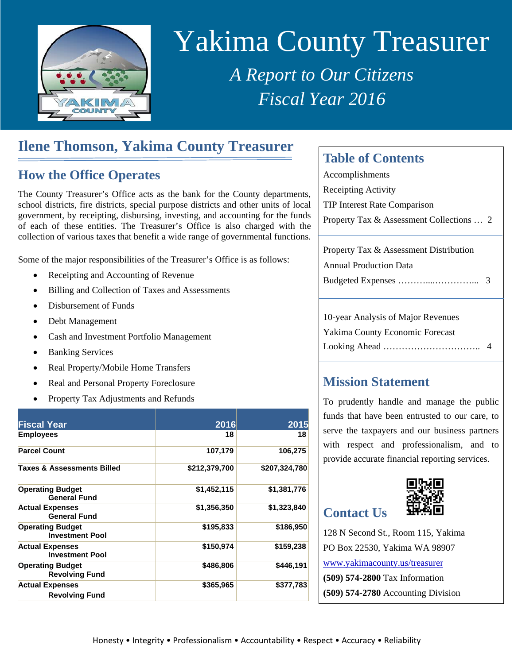

# Yakima County Treasurer

*A Report to Our Citizens Fiscal Year 2016* 

# **Ilene Thomson, Yakima County Treasurer**

## **How the Office Operates**

The County Treasurer's Office acts as the bank for the County departments, school districts, fire districts, special purpose districts and other units of local government, by receipting, disbursing, investing, and accounting for the funds of each of these entities. The Treasurer's Office is also charged with the collection of various taxes that benefit a wide range of governmental functions.

Some of the major responsibilities of the Treasurer's Office is as follows:

- Receipting and Accounting of Revenue
- Billing and Collection of Taxes and Assessments
- Disbursement of Funds
- Debt Management
- Cash and Investment Portfolio Management
- Banking Services
- Real Property/Mobile Home Transfers
- Real and Personal Property Foreclosure
- Property Tax Adjustments and Refunds

| <b>Fiscal Year</b>                                | 2016          | 2015          |
|---------------------------------------------------|---------------|---------------|
| <b>Employees</b>                                  | 18            | 18            |
| <b>Parcel Count</b>                               | 107,179       | 106,275       |
| <b>Taxes &amp; Assessments Billed</b>             | \$212,379,700 | \$207,324,780 |
| <b>Operating Budget</b><br><b>General Fund</b>    | \$1,452,115   | \$1,381,776   |
| <b>Actual Expenses</b><br><b>General Fund</b>     | \$1,356,350   | \$1,323,840   |
| <b>Operating Budget</b><br><b>Investment Pool</b> | \$195,833     | \$186,950     |
| <b>Actual Expenses</b><br><b>Investment Pool</b>  | \$150,974     | \$159,238     |
| <b>Operating Budget</b><br><b>Revolving Fund</b>  | \$486,806     | \$446,191     |
| <b>Actual Expenses</b><br><b>Revolving Fund</b>   | \$365,965     | \$377,783     |

## **Table of Contents**

| Accomplishments                          |  |
|------------------------------------------|--|
| Receipting Activity                      |  |
| <b>TIP Interest Rate Comparison</b>      |  |
| Property Tax & Assessment Collections  2 |  |
|                                          |  |

| Property Tax & Assessment Distribution |  |
|----------------------------------------|--|
| <b>Annual Production Data</b>          |  |
|                                        |  |
|                                        |  |

10-year Analysis of Major Revenues Yakima County Economic Forecast Looking Ahead ………………………….. 4

## **Mission Statement**

To prudently handle and manage the public funds that have been entrusted to our care, to serve the taxpayers and our business partners with respect and professionalism, and to provide accurate financial reporting services.

# **Contact Us**



128 N Second St., Room 115, Yakima PO Box 22530, Yakima WA 98907 www.yakimacounty.us/treasurer **(509) 574-2800** Tax Information **(509) 574-2780** Accounting Division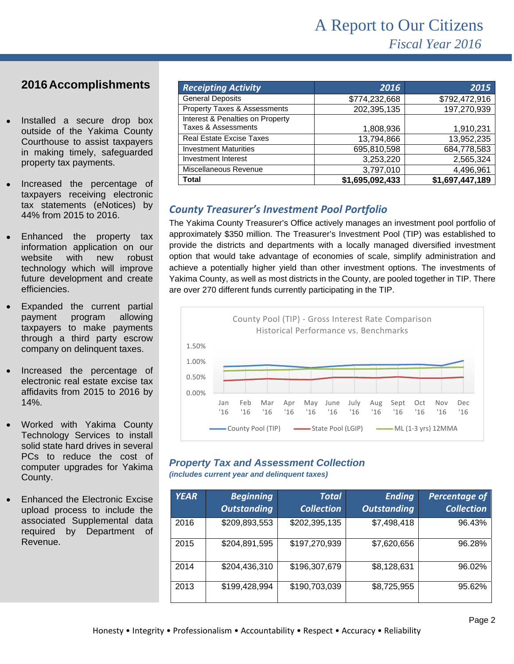### **2016 Accomplishments**

- Installed a secure drop box outside of the Yakima County Courthouse to assist taxpayers in making timely, safeguarded property tax payments.
- taxpayers receiving electronic Increased the percentage of tax statements (eNotices) by 44% from 2015 to 2016.
- Enhanced the property tax information application on our website with new robust technology which will improve future development and create efficiencies.
- Expanded the current partial payment program allowing taxpayers to make payments through a third party escrow company on delinquent taxes.
- Increased the percentage of electronic real estate excise tax affidavits from 2015 to 2016 by 14%.
- Worked with Yakima County Technology Services to install solid state hard drives in several PCs to reduce the cost of computer upgrades for Yakima County.
- Enhanced the Electronic Excise upload process to include the associated Supplemental data required by Department of Revenue.

| <b>Receipting Activity</b>              | 2016            | 2015            |
|-----------------------------------------|-----------------|-----------------|
| <b>General Deposits</b>                 | \$774,232,668   | \$792,472,916   |
| <b>Property Taxes &amp; Assessments</b> | 202,395,135     | 197,270,939     |
| Interest & Penalties on Property        |                 |                 |
| Taxes & Assessments                     | 1,808,936       | 1,910,231       |
| <b>Real Estate Excise Taxes</b>         | 13,794,866      | 13,952,235      |
| <b>Investment Maturities</b>            | 695,810,598     | 684,778,583     |
| Investment Interest                     | 3,253,220       | 2,565,324       |
| Miscellaneous Revenue                   | 3,797,010       | 4,496,961       |
| <b>Total</b>                            | \$1,695,092,433 | \$1,697,447,189 |

#### *County Treasurer's Investment Pool Portfolio*

The Yakima County Treasurer's Office actively manages an investment pool portfolio of approximately \$350 million. The Treasurer's Investment Pool (TIP) was established to provide the districts and departments with a locally managed diversified investment option that would take advantage of economies of scale, simplify administration and achieve a potentially higher yield than other investment options. The investments of Yakima County, as well as most districts in the County, are pooled together in TIP. There are over 270 different funds currently participating in the TIP.



#### *Property Tax and Assessment Collection*

*(includes current year and delinquent taxes)* 

| <b>YEAR</b> | <b>Beginning</b><br><b>Outstanding</b> | Total<br><b>Collection</b> | <b>Ending</b><br><b>Outstanding</b> | Percentage of<br><b>Collection</b> |
|-------------|----------------------------------------|----------------------------|-------------------------------------|------------------------------------|
| 2016        | \$209,893,553                          | \$202,395,135              | \$7,498,418                         | 96.43%                             |
| 2015        | \$204,891,595                          | \$197,270,939              | \$7,620,656                         | 96.28%                             |
| 2014        | \$204,436,310                          | \$196,307,679              | \$8,128,631                         | 96.02%                             |
| 2013        | \$199,428,994                          | \$190,703,039              | \$8,725,955                         | 95.62%                             |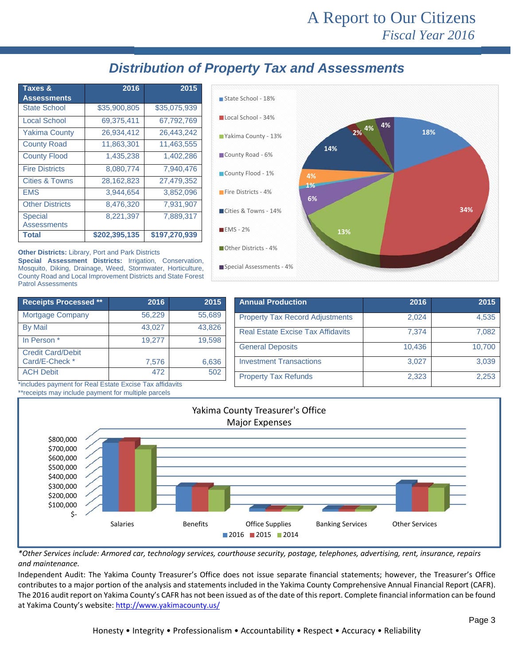# A Report to Our Citizens *Fiscal Year 2016*

## *Distribution of Property Tax and Assessments*

| Taxes &                              | 2016          | 2015          |
|--------------------------------------|---------------|---------------|
| <b>Assessments</b>                   |               |               |
| <b>State School</b>                  | \$35,900,805  | \$35,075,939  |
| <b>Local School</b>                  | 69,375,411    | 67,792,769    |
| <b>Yakima County</b>                 | 26,934,412    | 26,443,242    |
| <b>County Road</b>                   | 11,863,301    | 11,463,555    |
| <b>County Flood</b>                  | 1,435,238     | 1,402,286     |
| <b>Fire Districts</b>                | 8,080,774     | 7,940,476     |
| <b>Cities &amp; Towns</b>            | 28,162,823    | 27,479,352    |
| <b>FMS</b>                           | 3,944,654     | 3,852,096     |
| <b>Other Districts</b>               | 8,476,320     | 7,931,907     |
| <b>Special</b><br><b>Assessments</b> | 8,221,397     | 7,889,317     |
| <b>Total</b>                         | \$202,395,135 | \$197,270,939 |



**Special Assessment Districts:** Irrigation, Conservation, Mosquito, Diking, Drainage, Weed, Stormwater, Horticulture, County Road and Local Improvement Districts and State Forest Patrol Assessments

| <b>Receipts Processed **</b>               | 2016   | 2015   |
|--------------------------------------------|--------|--------|
| <b>Mortgage Company</b>                    | 56,229 | 55,689 |
| <b>By Mail</b>                             | 43,027 | 43,826 |
| In Person *                                | 19.277 | 19.598 |
| <b>Credit Card/Debit</b><br>Card/E-Check * | 7,576  | 6,636  |
| <b>ACH Debit</b>                           | 472    | 502    |

\*includes payment for Real Estate Excise Tax affidavits

| State School - 18%       |             |     |
|--------------------------|-------------|-----|
| Local School - 34%       |             | 4%  |
| Yakima County - 13%      | 2% 4%       | 18% |
| County Road - 6%         | 14%         |     |
| County Flood - 1%        | 4%          |     |
| Fire Districts - 4%      | $1\%$<br>6% |     |
| Cities & Towns - 14%     |             | 34% |
| $H$ EMS - 2%             | 13%         |     |
| Other Districts - 4%     |             |     |
| Special Assessments - 4% |             |     |

| <b>Annual Production</b>                 | 2016   | 2015   |
|------------------------------------------|--------|--------|
| <b>Property Tax Record Adjustments</b>   | 2,024  | 4,535  |
| <b>Real Estate Excise Tax Affidavits</b> | 7.374  | 7.082  |
| <b>General Deposits</b>                  | 10,436 | 10,700 |
| <b>Investment Transactions</b>           | 3.027  | 3,039  |
| <b>Property Tax Refunds</b>              | 2,323  | 2.253  |



\*Other Services include: Armored car, technology services, courthouse security, postage, telephones, advertising, rent, insurance, repairs *and maintenance.*

Independent Audit: The Yakima County Treasurer's Office does not issue separate financial statements; however, the Treasurer's Office contributes to a major portion of the analysis and statements included in the Yakima County Comprehensive Annual Financial Report (CAFR). The 2016 audit report on Yakima County's CAFR has not been issued as of the date of this report. Complete financial information can be found at Yakima County's website: http://www.yakimacounty.us/